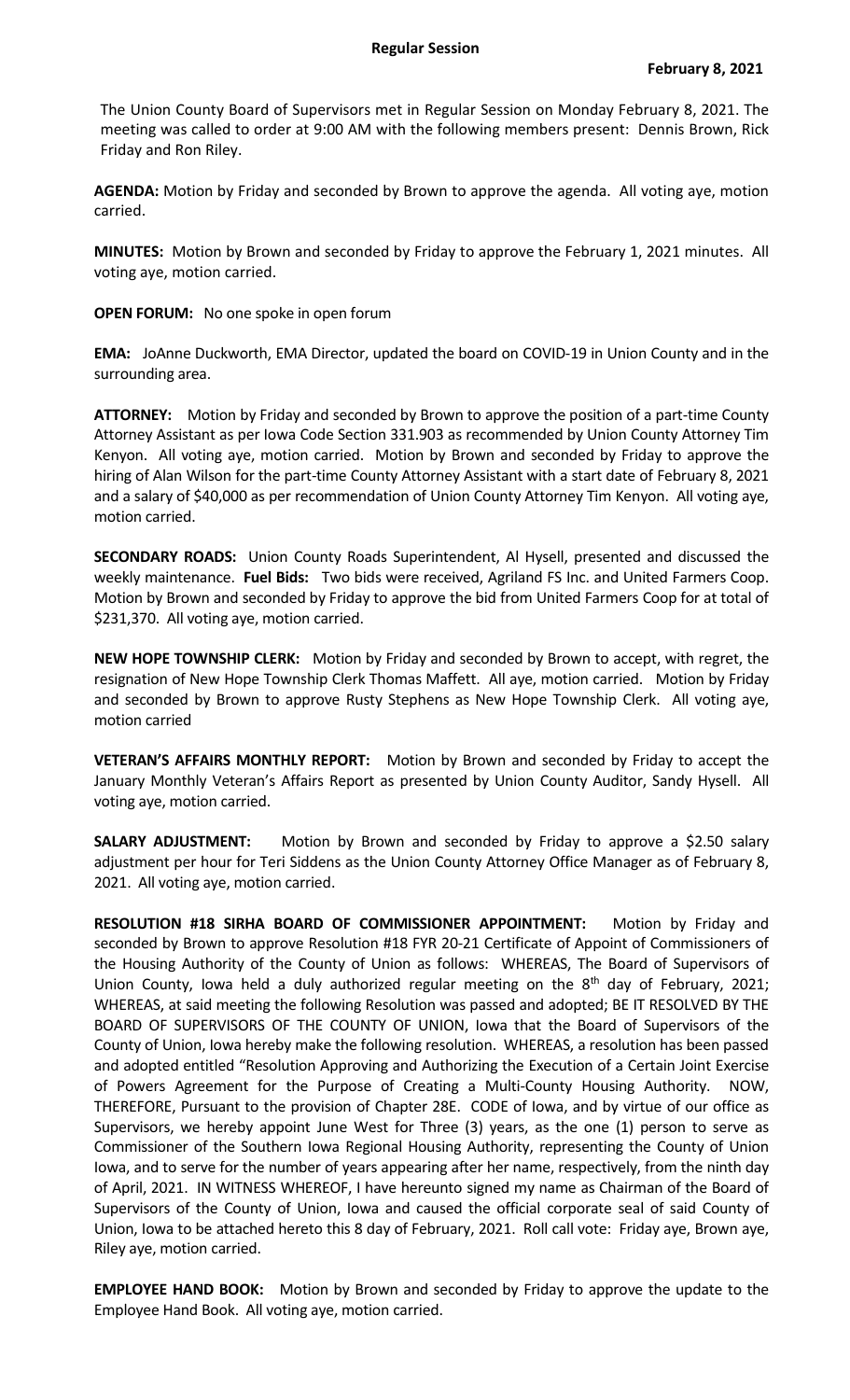The Union County Board of Supervisors met in Regular Session on Monday February 8, 2021. The meeting was called to order at 9:00 AM with the following members present: Dennis Brown, Rick Friday and Ron Riley.

**AGENDA:** Motion by Friday and seconded by Brown to approve the agenda. All voting aye, motion carried.

**MINUTES:** Motion by Brown and seconded by Friday to approve the February 1, 2021 minutes. All voting aye, motion carried.

**OPEN FORUM:** No one spoke in open forum

**EMA:** JoAnne Duckworth, EMA Director, updated the board on COVID-19 in Union County and in the surrounding area.

**ATTORNEY:** Motion by Friday and seconded by Brown to approve the position of a part-time County Attorney Assistant as per Iowa Code Section 331.903 as recommended by Union County Attorney Tim Kenyon. All voting aye, motion carried. Motion by Brown and seconded by Friday to approve the hiring of Alan Wilson for the part-time County Attorney Assistant with a start date of February 8, 2021 and a salary of \$40,000 as per recommendation of Union County Attorney Tim Kenyon. All voting aye, motion carried.

**SECONDARY ROADS:** Union County Roads Superintendent, Al Hysell, presented and discussed the weekly maintenance. **Fuel Bids:** Two bids were received, Agriland FS Inc. and United Farmers Coop. Motion by Brown and seconded by Friday to approve the bid from United Farmers Coop for at total of \$231,370. All voting aye, motion carried.

**NEW HOPE TOWNSHIP CLERK:** Motion by Friday and seconded by Brown to accept, with regret, the resignation of New Hope Township Clerk Thomas Maffett. All aye, motion carried. Motion by Friday and seconded by Brown to approve Rusty Stephens as New Hope Township Clerk. All voting aye, motion carried

**VETERAN'S AFFAIRS MONTHLY REPORT:** Motion by Brown and seconded by Friday to accept the January Monthly Veteran's Affairs Report as presented by Union County Auditor, Sandy Hysell. All voting aye, motion carried.

**SALARY ADJUSTMENT:** Motion by Brown and seconded by Friday to approve a \$2.50 salary adjustment per hour for Teri Siddens as the Union County Attorney Office Manager as of February 8, 2021. All voting aye, motion carried.

**RESOLUTION #18 SIRHA BOARD OF COMMISSIONER APPOINTMENT:** Motion by Friday and seconded by Brown to approve Resolution #18 FYR 20-21 Certificate of Appoint of Commissioners of the Housing Authority of the County of Union as follows: WHEREAS, The Board of Supervisors of Union County, Iowa held a duly authorized regular meeting on the  $8<sup>th</sup>$  day of February, 2021; WHEREAS, at said meeting the following Resolution was passed and adopted; BE IT RESOLVED BY THE BOARD OF SUPERVISORS OF THE COUNTY OF UNION, Iowa that the Board of Supervisors of the County of Union, Iowa hereby make the following resolution. WHEREAS, a resolution has been passed and adopted entitled "Resolution Approving and Authorizing the Execution of a Certain Joint Exercise of Powers Agreement for the Purpose of Creating a Multi-County Housing Authority. NOW, THEREFORE, Pursuant to the provision of Chapter 28E. CODE of Iowa, and by virtue of our office as Supervisors, we hereby appoint June West for Three (3) years, as the one (1) person to serve as Commissioner of the Southern Iowa Regional Housing Authority, representing the County of Union Iowa, and to serve for the number of years appearing after her name, respectively, from the ninth day of April, 2021. IN WITNESS WHEREOF, I have hereunto signed my name as Chairman of the Board of Supervisors of the County of Union, Iowa and caused the official corporate seal of said County of Union, Iowa to be attached hereto this 8 day of February, 2021. Roll call vote: Friday aye, Brown aye, Riley aye, motion carried.

**EMPLOYEE HAND BOOK:** Motion by Brown and seconded by Friday to approve the update to the Employee Hand Book. All voting aye, motion carried.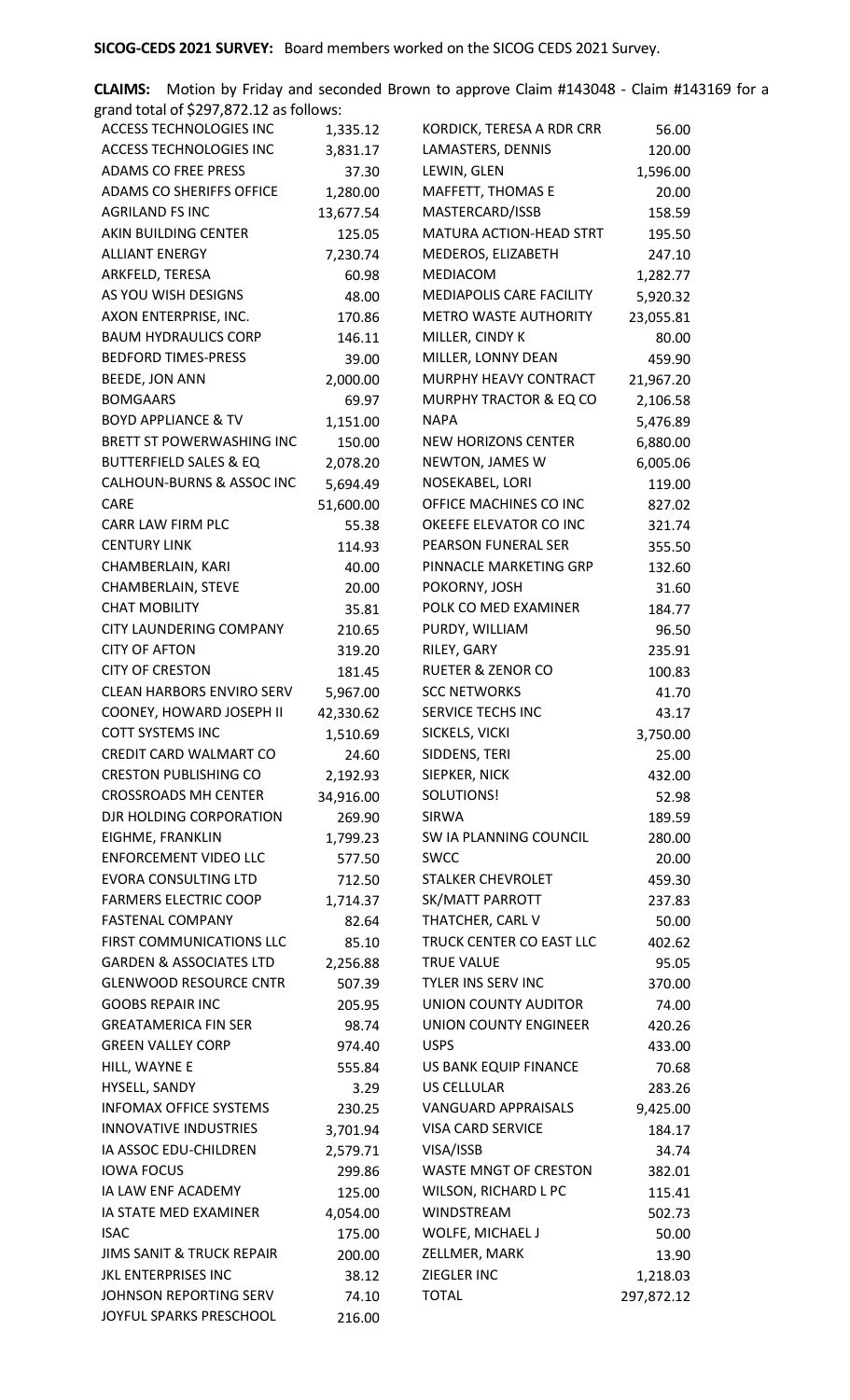**CLAIMS:** Motion by Friday and seconded Brown to approve Claim #143048 - Claim #143169 for a grand total of \$297,872.12 as follows:

| ACCESS TECHNOLOGIES INC              | 1,335.12  | KORDICK, TERESA A RDR CRR         | 56.00      |
|--------------------------------------|-----------|-----------------------------------|------------|
| <b>ACCESS TECHNOLOGIES INC</b>       | 3,831.17  | LAMASTERS, DENNIS                 | 120.00     |
| <b>ADAMS CO FREE PRESS</b>           | 37.30     | LEWIN, GLEN                       | 1,596.00   |
| <b>ADAMS CO SHERIFFS OFFICE</b>      | 1,280.00  | MAFFETT, THOMAS E                 | 20.00      |
| <b>AGRILAND FS INC</b>               | 13,677.54 | MASTERCARD/ISSB                   | 158.59     |
| AKIN BUILDING CENTER                 | 125.05    | MATURA ACTION-HEAD STRT           | 195.50     |
| <b>ALLIANT ENERGY</b>                | 7,230.74  | MEDEROS, ELIZABETH                | 247.10     |
| ARKFELD, TERESA                      | 60.98     | <b>MEDIACOM</b>                   | 1,282.77   |
| AS YOU WISH DESIGNS                  | 48.00     | <b>MEDIAPOLIS CARE FACILITY</b>   | 5,920.32   |
| AXON ENTERPRISE, INC.                | 170.86    | <b>METRO WASTE AUTHORITY</b>      | 23,055.81  |
| <b>BAUM HYDRAULICS CORP</b>          | 146.11    | MILLER, CINDY K                   | 80.00      |
| <b>BEDFORD TIMES-PRESS</b>           | 39.00     | MILLER, LONNY DEAN                | 459.90     |
| BEEDE, JON ANN                       | 2,000.00  | MURPHY HEAVY CONTRACT             | 21,967.20  |
| <b>BOMGAARS</b>                      | 69.97     | <b>MURPHY TRACTOR &amp; EQ CO</b> | 2,106.58   |
| <b>BOYD APPLIANCE &amp; TV</b>       | 1,151.00  | <b>NAPA</b>                       | 5,476.89   |
| <b>BRETT ST POWERWASHING INC</b>     | 150.00    | <b>NEW HORIZONS CENTER</b>        | 6,880.00   |
| <b>BUTTERFIELD SALES &amp; EQ</b>    | 2,078.20  | NEWTON, JAMES W                   | 6,005.06   |
| <b>CALHOUN-BURNS &amp; ASSOC INC</b> | 5,694.49  | NOSEKABEL, LORI                   | 119.00     |
| <b>CARE</b>                          | 51,600.00 | OFFICE MACHINES CO INC            | 827.02     |
| <b>CARR LAW FIRM PLC</b>             | 55.38     | OKEEFE ELEVATOR CO INC            | 321.74     |
| <b>CENTURY LINK</b>                  | 114.93    | PEARSON FUNERAL SER               | 355.50     |
| CHAMBERLAIN, KARI                    | 40.00     | PINNACLE MARKETING GRP            | 132.60     |
| CHAMBERLAIN, STEVE                   | 20.00     | POKORNY, JOSH                     | 31.60      |
| <b>CHAT MOBILITY</b>                 | 35.81     | POLK CO MED EXAMINER              | 184.77     |
| CITY LAUNDERING COMPANY              | 210.65    | PURDY, WILLIAM                    | 96.50      |
| <b>CITY OF AFTON</b>                 | 319.20    | RILEY, GARY                       | 235.91     |
| <b>CITY OF CRESTON</b>               | 181.45    | <b>RUETER &amp; ZENOR CO</b>      | 100.83     |
| <b>CLEAN HARBORS ENVIRO SERV</b>     | 5,967.00  | <b>SCC NETWORKS</b>               | 41.70      |
| COONEY, HOWARD JOSEPH II             | 42,330.62 | SERVICE TECHS INC                 | 43.17      |
| <b>COTT SYSTEMS INC</b>              | 1,510.69  | SICKELS, VICKI                    | 3,750.00   |
| <b>CREDIT CARD WALMART CO</b>        | 24.60     | SIDDENS, TERI                     | 25.00      |
| <b>CRESTON PUBLISHING CO</b>         | 2,192.93  | SIEPKER, NICK                     | 432.00     |
| <b>CROSSROADS MH CENTER</b>          | 34,916.00 | SOLUTIONS!                        | 52.98      |
| DJR HOLDING CORPORATION              | 269.90    | <b>SIRWA</b>                      | 189.59     |
| EIGHME, FRANKLIN                     | 1,799.23  | SW IA PLANNING COUNCIL            | 280.00     |
| <b>ENFORCEMENT VIDEO LLC</b>         | 577.50    | <b>SWCC</b>                       | 20.00      |
| <b>EVORA CONSULTING LTD</b>          | 712.50    | STALKER CHEVROLET                 | 459.30     |
| <b>FARMERS ELECTRIC COOP</b>         | 1,714.37  | SK/MATT PARROTT                   | 237.83     |
| <b>FASTENAL COMPANY</b>              | 82.64     | THATCHER, CARL V                  | 50.00      |
| FIRST COMMUNICATIONS LLC             | 85.10     | TRUCK CENTER CO EAST LLC          | 402.62     |
| <b>GARDEN &amp; ASSOCIATES LTD</b>   | 2,256.88  | TRUE VALUE                        | 95.05      |
| <b>GLENWOOD RESOURCE CNTR</b>        | 507.39    | <b>TYLER INS SERV INC</b>         | 370.00     |
| <b>GOOBS REPAIR INC</b>              | 205.95    | UNION COUNTY AUDITOR              | 74.00      |
| <b>GREATAMERICA FIN SER</b>          | 98.74     | UNION COUNTY ENGINEER             | 420.26     |
| <b>GREEN VALLEY CORP</b>             | 974.40    | <b>USPS</b>                       | 433.00     |
| HILL, WAYNE E                        | 555.84    | US BANK EQUIP FINANCE             | 70.68      |
| HYSELL, SANDY                        | 3.29      | <b>US CELLULAR</b>                | 283.26     |
| <b>INFOMAX OFFICE SYSTEMS</b>        | 230.25    | <b>VANGUARD APPRAISALS</b>        | 9,425.00   |
| <b>INNOVATIVE INDUSTRIES</b>         | 3,701.94  | VISA CARD SERVICE                 | 184.17     |
| IA ASSOC EDU-CHILDREN                | 2,579.71  | VISA/ISSB                         | 34.74      |
| <b>IOWA FOCUS</b>                    | 299.86    | <b>WASTE MNGT OF CRESTON</b>      | 382.01     |
| IA LAW ENF ACADEMY                   | 125.00    | WILSON, RICHARD L PC              | 115.41     |
| IA STATE MED EXAMINER                | 4,054.00  | <b>WINDSTREAM</b>                 | 502.73     |
| <b>ISAC</b>                          | 175.00    | WOLFE, MICHAEL J                  | 50.00      |
| <b>JIMS SANIT &amp; TRUCK REPAIR</b> | 200.00    | ZELLMER, MARK                     | 13.90      |
| <b>JKL ENTERPRISES INC</b>           | 38.12     | <b>ZIEGLER INC</b>                | 1,218.03   |
| JOHNSON REPORTING SERV               | 74.10     | <b>TOTAL</b>                      | 297,872.12 |
| JOYFUL SPARKS PRESCHOOL              | 216.00    |                                   |            |
|                                      |           |                                   |            |